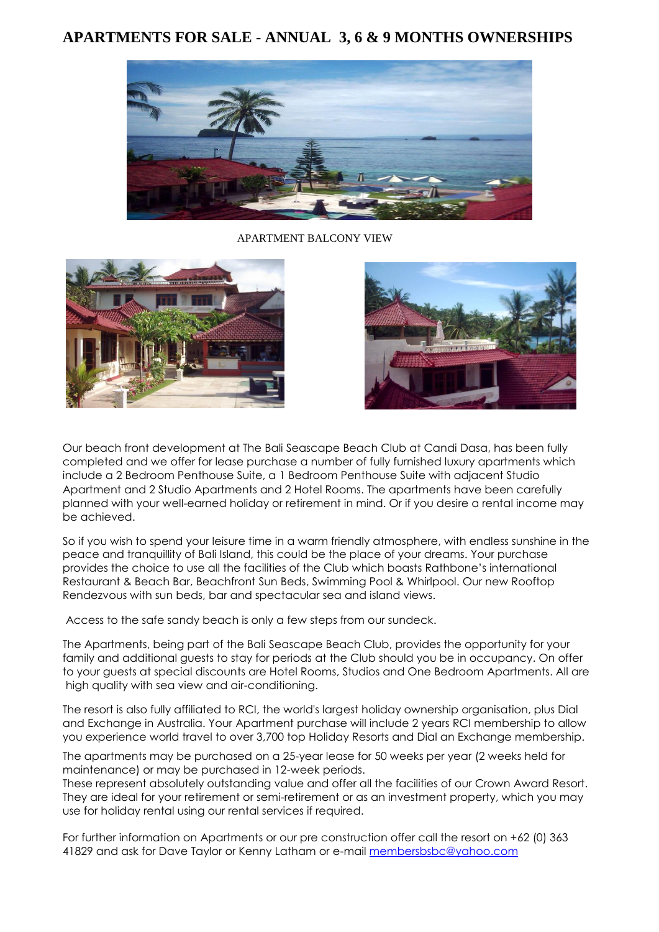# **APARTMENTS FOR SALE - ANNUAL 3, 6 & 9 MONTHS OWNERSHIPS**



APARTMENT BALCONY VIEW





Our beach front development at The Bali Seascape Beach Club at Candi Dasa, has been fully completed and we offer for lease purchase a number of fully furnished luxury apartments which include a 2 Bedroom Penthouse Suite, a 1 Bedroom Penthouse Suite with adjacent Studio Apartment and 2 Studio Apartments and 2 Hotel Rooms. The apartments have been carefully planned with your well-earned holiday or retirement in mind. Or if you desire a rental income may be achieved.

So if you wish to spend your leisure time in a warm friendly atmosphere, with endless sunshine in the peace and tranquillity of Bali Island, this could be the place of your dreams. Your purchase provides the choice to use all the facilities of the Club which boasts Rathbone's international Restaurant & Beach Bar, Beachfront Sun Beds, Swimming Pool & Whirlpool. Our new Rooftop Rendezvous with sun beds, bar and spectacular sea and island views.

Access to the safe sandy beach is only a few steps from our sundeck.

The Apartments, being part of the Bali Seascape Beach Club, provides the opportunity for your family and additional guests to stay for periods at the Club should you be in occupancy. On offer to your guests at special discounts are Hotel Rooms, Studios and One Bedroom Apartments. All are high quality with sea view and air-conditioning.

The resort is also fully affiliated to RCI, the world's largest holiday ownership organisation, plus Dial and Exchange in Australia. Your Apartment purchase will include 2 years RCI membership to allow you experience world travel to over 3,700 top Holiday Resorts and Dial an Exchange membership.

The apartments may be purchased on a 25-year lease for 50 weeks per year (2 weeks held for maintenance) or may be purchased in 12-week periods.

These represent absolutely outstanding value and offer all the facilities of our Crown Award Resort. They are ideal for your retirement or semi-retirement or as an investment property, which you may use for holiday rental using our rental services if required.

For further information on Apartments or our pre construction offer call the resort on +62 (0) 363 41829 and ask for Dave Taylor or Kenny Latham or e-mail [membersbsbc@yahoo.com](mailto:membersbsbc@yahoo.com)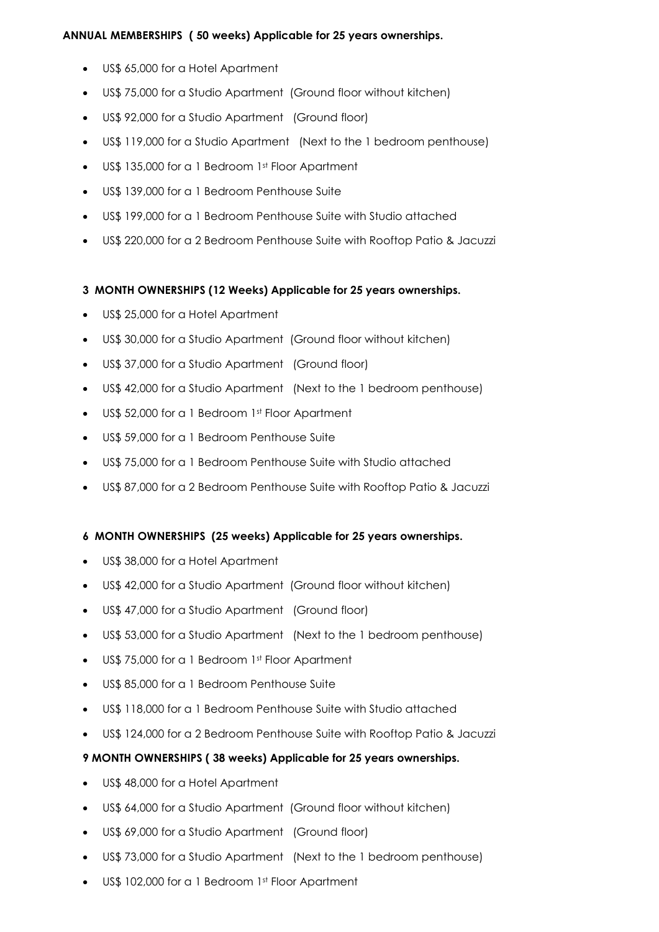## **ANNUAL MEMBERSHIPS ( 50 weeks) Applicable for 25 years ownerships.**

- US\$ 65,000 for a Hotel Apartment
- US\$ 75,000 for a Studio Apartment (Ground floor without kitchen)
- US\$ 92,000 for a Studio Apartment (Ground floor)
- US\$ 119,000 for a Studio Apartment (Next to the 1 bedroom penthouse)
- US\$ 135,000 for a 1 Bedroom 1st Floor Apartment
- US\$ 139,000 for a 1 Bedroom Penthouse Suite
- US\$ 199,000 for a 1 Bedroom Penthouse Suite with Studio attached
- US\$ 220,000 for a 2 Bedroom Penthouse Suite with Rooftop Patio & Jacuzzi

# **3 MONTH OWNERSHIPS (12 Weeks) Applicable for 25 years ownerships.**

- US\$ 25,000 for a Hotel Apartment
- US\$ 30,000 for a Studio Apartment (Ground floor without kitchen)
- US\$ 37,000 for a Studio Apartment (Ground floor)
- US\$ 42,000 for a Studio Apartment (Next to the 1 bedroom penthouse)
- US\$ 52,000 for a 1 Bedroom 1st Floor Apartment
- US\$ 59,000 for a 1 Bedroom Penthouse Suite
- US\$ 75,000 for a 1 Bedroom Penthouse Suite with Studio attached
- US\$ 87,000 for a 2 Bedroom Penthouse Suite with Rooftop Patio & Jacuzzi

### **6 MONTH OWNERSHIPS (25 weeks) Applicable for 25 years ownerships.**

- US\$ 38,000 for a Hotel Apartment
- US\$ 42,000 for a Studio Apartment (Ground floor without kitchen)
- US\$ 47,000 for a Studio Apartment (Ground floor)
- US\$ 53,000 for a Studio Apartment (Next to the 1 bedroom penthouse)
- US\$ 75,000 for a 1 Bedroom 1st Floor Apartment
- US\$ 85,000 for a 1 Bedroom Penthouse Suite
- US\$ 118,000 for a 1 Bedroom Penthouse Suite with Studio attached
- US\$ 124,000 for a 2 Bedroom Penthouse Suite with Rooftop Patio & Jacuzzi
- **9 MONTH OWNERSHIPS ( 38 weeks) Applicable for 25 years ownerships.**
- US\$ 48,000 for a Hotel Apartment
- US\$ 64,000 for a Studio Apartment (Ground floor without kitchen)
- US\$ 69,000 for a Studio Apartment (Ground floor)
- US\$ 73,000 for a Studio Apartment (Next to the 1 bedroom penthouse)
- US\$ 102,000 for a 1 Bedroom 1st Floor Apartment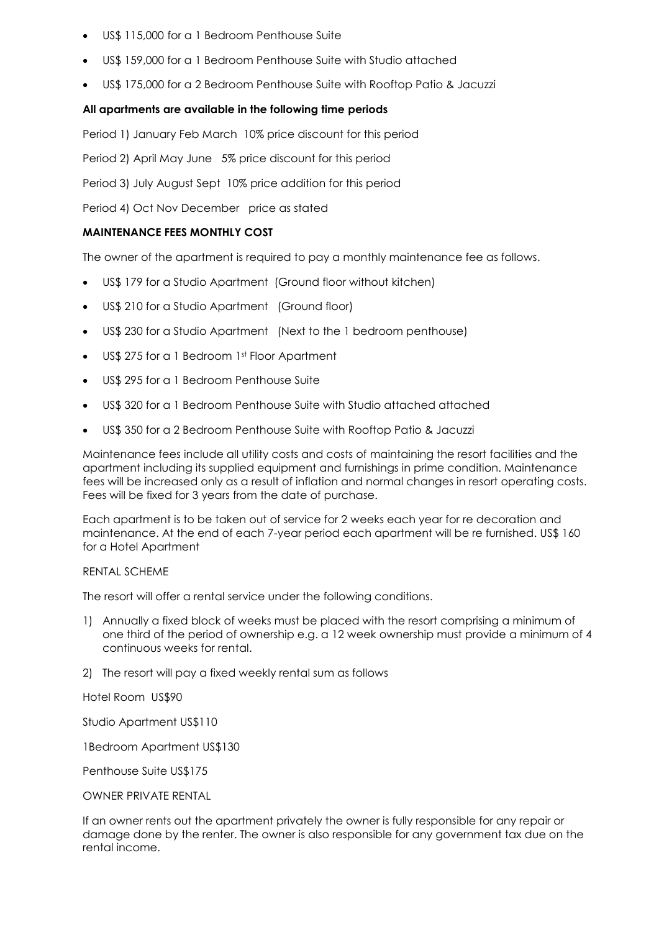- US\$ 115,000 for a 1 Bedroom Penthouse Suite
- US\$ 159,000 for a 1 Bedroom Penthouse Suite with Studio attached
- US\$ 175,000 for a 2 Bedroom Penthouse Suite with Rooftop Patio & Jacuzzi

#### **All apartments are available in the following time periods**

Period 1) January Feb March 10% price discount for this period

Period 2) April May June 5% price discount for this period

Period 3) July August Sept 10% price addition for this period

Period 4) Oct Nov December price as stated

#### **MAINTENANCE FEES MONTHLY COST**

The owner of the apartment is required to pay a monthly maintenance fee as follows.

- US\$ 179 for a Studio Apartment (Ground floor without kitchen)
- US\$ 210 for a Studio Apartment (Ground floor)
- US\$ 230 for a Studio Apartment (Next to the 1 bedroom penthouse)
- US\$ 275 for a 1 Bedroom 1st Floor Apartment
- US\$ 295 for a 1 Bedroom Penthouse Suite
- US\$ 320 for a 1 Bedroom Penthouse Suite with Studio attached attached
- US\$ 350 for a 2 Bedroom Penthouse Suite with Rooftop Patio & Jacuzzi

Maintenance fees include all utility costs and costs of maintaining the resort facilities and the apartment including its supplied equipment and furnishings in prime condition. Maintenance fees will be increased only as a result of inflation and normal changes in resort operating costs. Fees will be fixed for 3 years from the date of purchase.

Each apartment is to be taken out of service for 2 weeks each year for re decoration and maintenance. At the end of each 7-year period each apartment will be re furnished. US\$ 160 for a Hotel Apartment

#### RENTAL SCHEME

The resort will offer a rental service under the following conditions.

- 1) Annually a fixed block of weeks must be placed with the resort comprising a minimum of one third of the period of ownership e.g. a 12 week ownership must provide a minimum of 4 continuous weeks for rental.
- 2) The resort will pay a fixed weekly rental sum as follows

Hotel Room US\$90

Studio Apartment US\$110

1Bedroom Apartment US\$130

Penthouse Suite US\$175

OWNER PRIVATE RENTAL

If an owner rents out the apartment privately the owner is fully responsible for any repair or damage done by the renter. The owner is also responsible for any government tax due on the rental income.